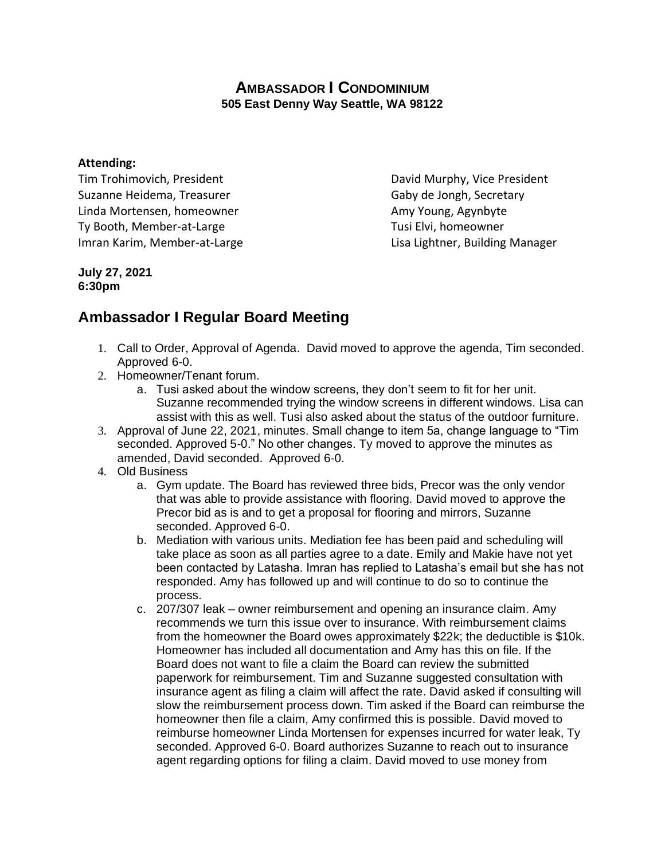## **AMBASSADOR I CONDOMINIUM 505 East Denny Way Seattle, WA 98122**

## **Attending:**

Tim Trohimovich, President **David Murphy, Vice President** Suzanne Heidema, Treasurer Gaby de Jongh, Secretary Linda Mortensen, homeowner Amy Young, Agynbyte Ty Booth, Member-at-Large Ty Booth, Member-at-Large Imran Karim, Member-at-Large Lisa Lightner, Building Manager

## **July 27, 2021 6:30pm**

## **Ambassador I Regular Board Meeting**

- 1. Call to Order, Approval of Agenda. David moved to approve the agenda, Tim seconded. Approved 6-0.
- 2. Homeowner/Tenant forum.
	- a. Tusi asked about the window screens, they don't seem to fit for her unit. Suzanne recommended trying the window screens in different windows. Lisa can assist with this as well. Tusi also asked about the status of the outdoor furniture.
- 3. Approval of June 22, 2021, minutes. Small change to item 5a, change language to "Tim seconded. Approved 5-0." No other changes. Ty moved to approve the minutes as amended, David seconded. Approved 6-0.
- 4. Old Business
	- a. Gym update. The Board has reviewed three bids, Precor was the only vendor that was able to provide assistance with flooring. David moved to approve the Precor bid as is and to get a proposal for flooring and mirrors, Suzanne seconded. Approved 6-0.
	- b. Mediation with various units. Mediation fee has been paid and scheduling will take place as soon as all parties agree to a date. Emily and Makie have not yet been contacted by Latasha. Imran has replied to Latasha's email but she has not responded. Amy has followed up and will continue to do so to continue the process.
	- c. 207/307 leak owner reimbursement and opening an insurance claim. Amy recommends we turn this issue over to insurance. With reimbursement claims from the homeowner the Board owes approximately \$22k; the deductible is \$10k. Homeowner has included all documentation and Amy has this on file. If the Board does not want to file a claim the Board can review the submitted paperwork for reimbursement. Tim and Suzanne suggested consultation with insurance agent as filing a claim will affect the rate. David asked if consulting will slow the reimbursement process down. Tim asked if the Board can reimburse the homeowner then file a claim, Amy confirmed this is possible. David moved to reimburse homeowner Linda Mortensen for expenses incurred for water leak, Ty seconded. Approved 6-0. Board authorizes Suzanne to reach out to insurance agent regarding options for filing a claim. David moved to use money from